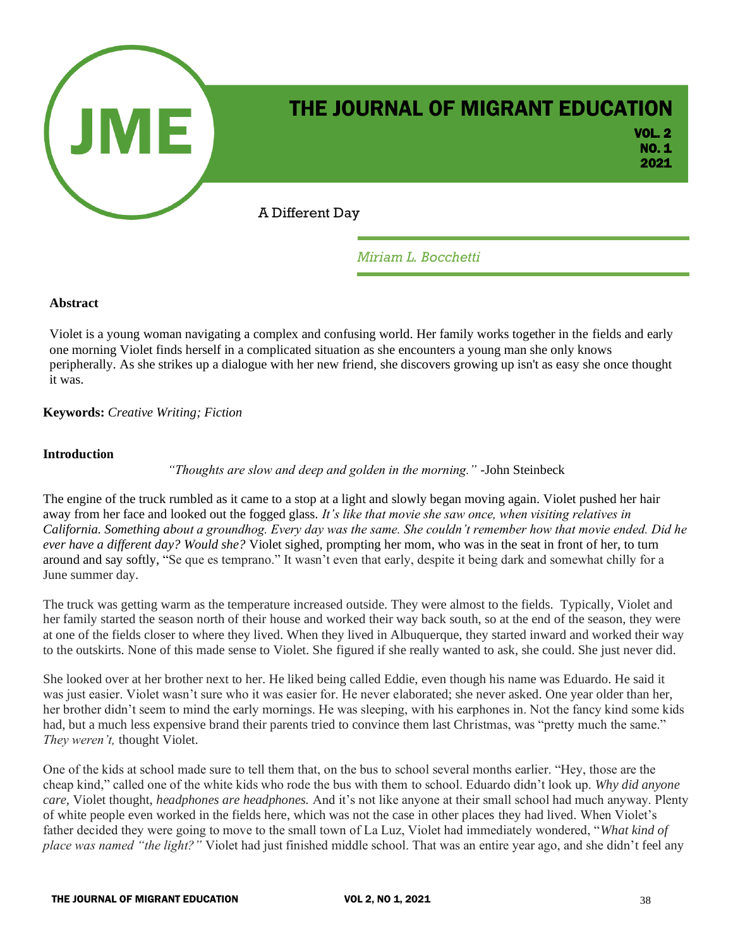

*Miriam L. Bocchetti*

#### **Abstract**

Violet is a young woman navigating a complex and confusing world. Her family works together in the fields and early one morning Violet finds herself in a complicated situation as she encounters a young man she only knows peripherally. As she strikes up a dialogue with her new friend, she discovers growing up isn't as easy she once thought it was.

### **Keywords:** *Creative Writing; Fiction*

#### **Introduction**

*"Thoughts are slow and deep and golden in the morning."* -John Steinbeck

The engine of the truck rumbled as it came to a stop at a light and slowly began moving again. Violet pushed her hair away from her face and looked out the fogged glass. *It's like that movie she saw once, when visiting relatives in California. Something about a groundhog. Every day was the same. She couldn't remember how that movie ended. Did he ever have a different day? Would she?* Violet sighed, prompting her mom, who was in the seat in front of her, to turn around and say softly, "Se que es temprano." It wasn't even that early, despite it being dark and somewhat chilly for a June summer day.

The truck was getting warm as the temperature increased outside. They were almost to the fields. Typically, Violet and her family started the season north of their house and worked their way back south, so at the end of the season, they were at one of the fields closer to where they lived. When they lived in Albuquerque, they started inward and worked their way to the outskirts. None of this made sense to Violet. She figured if she really wanted to ask, she could. She just never did.

She looked over at her brother next to her. He liked being called Eddie, even though his name was Eduardo. He said it was just easier. Violet wasn't sure who it was easier for. He never elaborated; she never asked. One year older than her, her brother didn't seem to mind the early mornings. He was sleeping, with his earphones in. Not the fancy kind some kids had, but a much less expensive brand their parents tried to convince them last Christmas, was "pretty much the same." *They weren't,* thought Violet.

One of the kids at school made sure to tell them that, on the bus to school several months earlier. "Hey, those are the cheap kind," called one of the white kids who rode the bus with them to school. Eduardo didn't look up. *Why did anyone care,* Violet thought, *headphones are headphones.* And it's not like anyone at their small school had much anyway. Plenty of white people even worked in the fields here, which was not the case in other places they had lived. When Violet's father decided they were going to move to the small town of La Luz, Violet had immediately wondered, "*What kind of place was named "the light?"* Violet had just finished middle school. That was an entire year ago, and she didn't feel any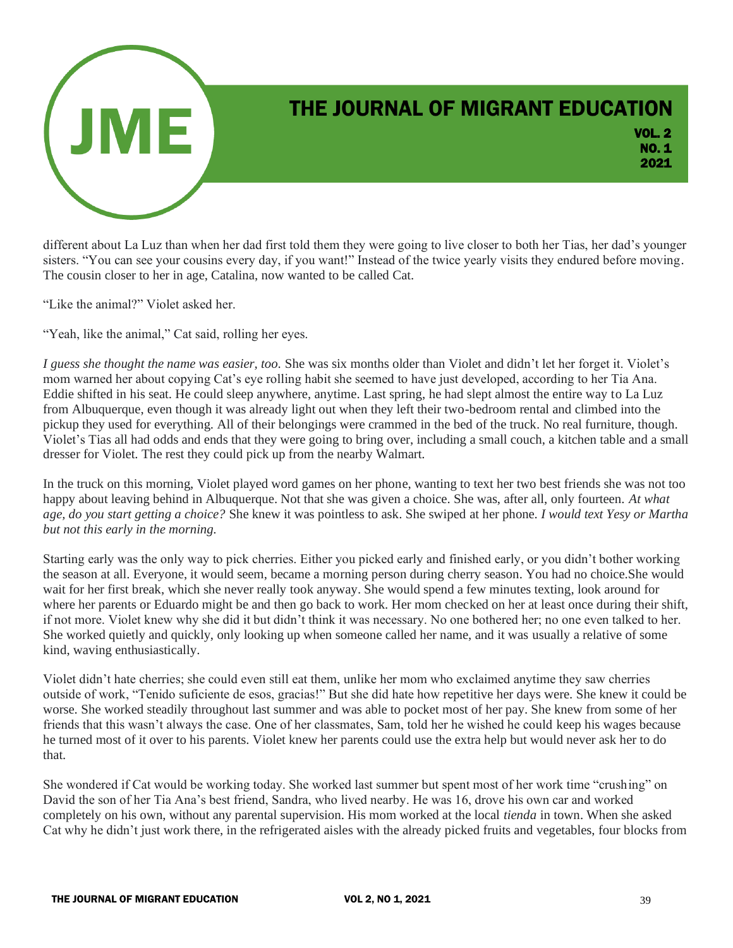

different about La Luz than when her dad first told them they were going to live closer to both her Tias, her dad's younger sisters. "You can see your cousins every day, if you want!" Instead of the twice yearly visits they endured before moving. The cousin closer to her in age, Catalina, now wanted to be called Cat.

"Like the animal?" Violet asked her.

"Yeah, like the animal," Cat said, rolling her eyes.

*I guess she thought the name was easier, too.* She was six months older than Violet and didn't let her forget it. Violet's mom warned her about copying Cat's eye rolling habit she seemed to have just developed, according to her Tia Ana. Eddie shifted in his seat. He could sleep anywhere, anytime. Last spring, he had slept almost the entire way to La Luz from Albuquerque, even though it was already light out when they left their two-bedroom rental and climbed into the pickup they used for everything. All of their belongings were crammed in the bed of the truck. No real furniture, though. Violet's Tias all had odds and ends that they were going to bring over, including a small couch, a kitchen table and a small dresser for Violet. The rest they could pick up from the nearby Walmart.

In the truck on this morning, Violet played word games on her phone, wanting to text her two best friends she was not too happy about leaving behind in Albuquerque. Not that she was given a choice. She was, after all, only fourteen. *At what age, do you start getting a choice?* She knew it was pointless to ask. She swiped at her phone. *I would text Yesy or Martha but not this early in the morning.* 

Starting early was the only way to pick cherries. Either you picked early and finished early, or you didn't bother working the season at all. Everyone, it would seem, became a morning person during cherry season. You had no choice.She would wait for her first break, which she never really took anyway. She would spend a few minutes texting, look around for where her parents or Eduardo might be and then go back to work. Her mom checked on her at least once during their shift, if not more. Violet knew why she did it but didn't think it was necessary. No one bothered her; no one even talked to her. She worked quietly and quickly, only looking up when someone called her name, and it was usually a relative of some kind, waving enthusiastically.

Violet didn't hate cherries; she could even still eat them, unlike her mom who exclaimed anytime they saw cherries outside of work, "Tenido suficiente de esos, gracias!" But she did hate how repetitive her days were. She knew it could be worse. She worked steadily throughout last summer and was able to pocket most of her pay. She knew from some of her friends that this wasn't always the case. One of her classmates, Sam, told her he wished he could keep his wages because he turned most of it over to his parents. Violet knew her parents could use the extra help but would never ask her to do that.

She wondered if Cat would be working today. She worked last summer but spent most of her work time "crushing" on David the son of her Tia Ana's best friend, Sandra, who lived nearby. He was 16, drove his own car and worked completely on his own, without any parental supervision. His mom worked at the local *tienda* in town. When she asked Cat why he didn't just work there, in the refrigerated aisles with the already picked fruits and vegetables, four blocks from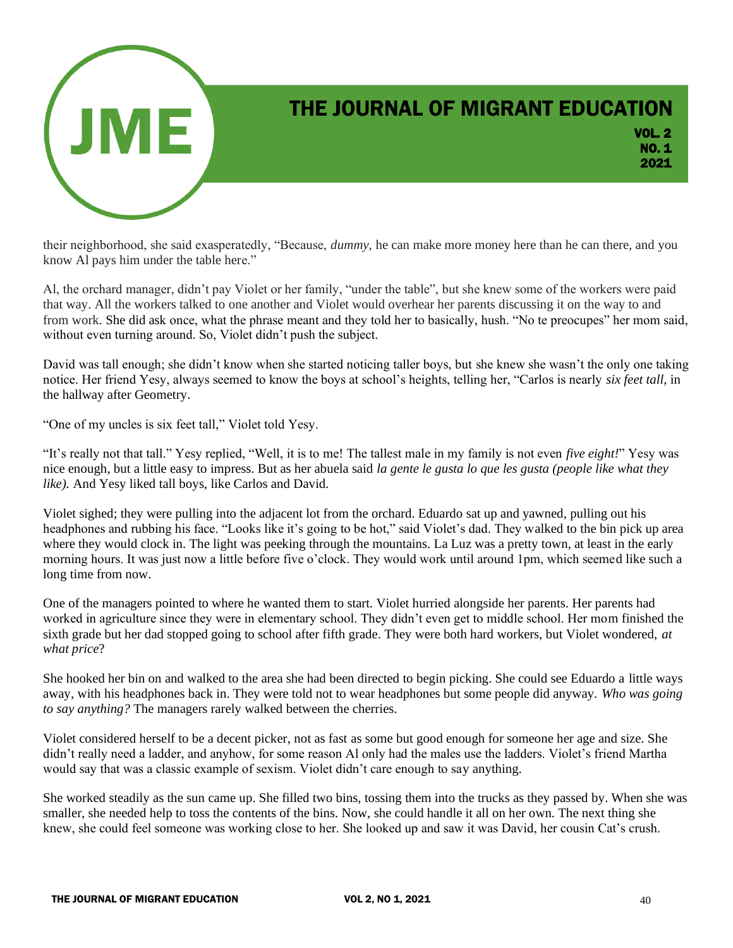

their neighborhood, she said exasperatedly, "Because, *dummy,* he can make more money here than he can there, and you know Al pays him under the table here."

Al, the orchard manager, didn't pay Violet or her family, "under the table", but she knew some of the workers were paid that way. All the workers talked to one another and Violet would overhear her parents discussing it on the way to and from work. She did ask once, what the phrase meant and they told her to basically, hush. "No te preocupes" her mom said, without even turning around. So, Violet didn't push the subject.

David was tall enough; she didn't know when she started noticing taller boys, but she knew she wasn't the only one taking notice. Her friend Yesy, always seemed to know the boys at school's heights, telling her, "Carlos is nearly *six feet tall*, in the hallway after Geometry.

"One of my uncles is six feet tall," Violet told Yesy.

"It's really not that tall." Yesy replied, "Well, it is to me! The tallest male in my family is not even *five eight!*" Yesy was nice enough, but a little easy to impress. But as her abuela said *la gente le gusta lo que les gusta (people like what they like).* And Yesy liked tall boys, like Carlos and David.

Violet sighed; they were pulling into the adjacent lot from the orchard. Eduardo sat up and yawned, pulling out his headphones and rubbing his face. "Looks like it's going to be hot," said Violet's dad. They walked to the bin pick up area where they would clock in. The light was peeking through the mountains. La Luz was a pretty town, at least in the early morning hours. It was just now a little before five o'clock. They would work until around 1pm, which seemed like such a long time from now.

One of the managers pointed to where he wanted them to start. Violet hurried alongside her parents. Her parents had worked in agriculture since they were in elementary school. They didn't even get to middle school. Her mom finished the sixth grade but her dad stopped going to school after fifth grade. They were both hard workers, but Violet wondered, *at what price*?

She hooked her bin on and walked to the area she had been directed to begin picking. She could see Eduardo a little ways away, with his headphones back in. They were told not to wear headphones but some people did anyway. *Who was going to say anything?* The managers rarely walked between the cherries.

Violet considered herself to be a decent picker, not as fast as some but good enough for someone her age and size. She didn't really need a ladder, and anyhow, for some reason Al only had the males use the ladders. Violet's friend Martha would say that was a classic example of sexism. Violet didn't care enough to say anything.

She worked steadily as the sun came up. She filled two bins, tossing them into the trucks as they passed by. When she was smaller, she needed help to toss the contents of the bins. Now, she could handle it all on her own. The next thing she knew, she could feel someone was working close to her. She looked up and saw it was David, her cousin Cat's crush.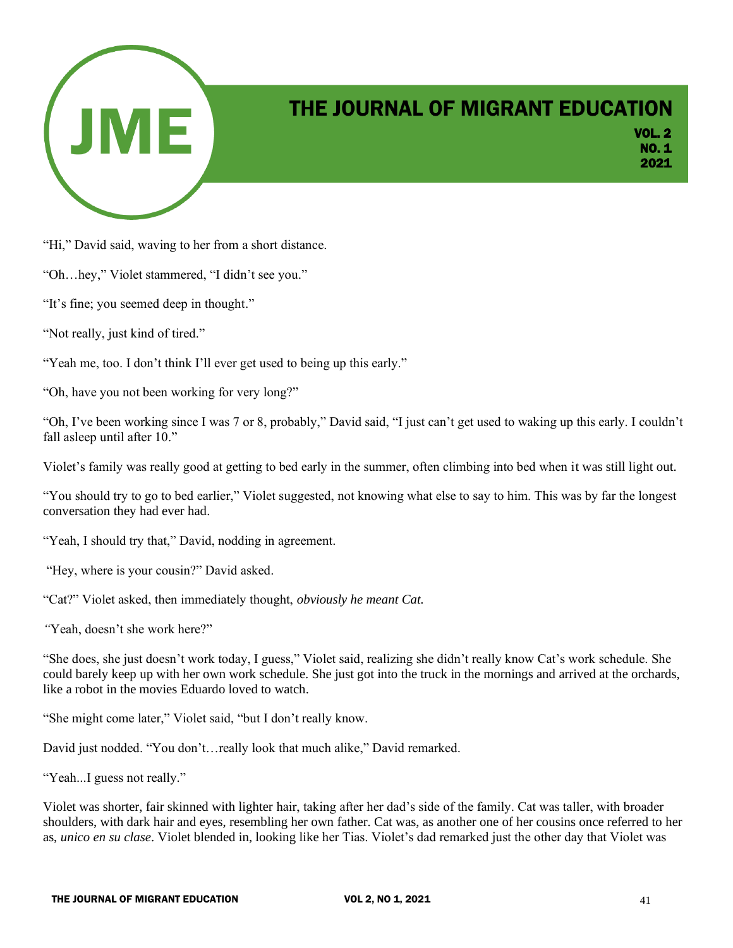

VOL. 2 NO. 1 2021

"Hi," David said, waving to her from a short distance.

"Oh…hey," Violet stammered, "I didn't see you."

- "It's fine; you seemed deep in thought."
- "Not really, just kind of tired."

"Yeah me, too. I don't think I'll ever get used to being up this early."

"Oh, have you not been working for very long?"

"Oh, I've been working since I was 7 or 8, probably," David said, "I just can't get used to waking up this early. I couldn't fall asleep until after 10."

Violet's family was really good at getting to bed early in the summer, often climbing into bed when it was still light out.

"You should try to go to bed earlier," Violet suggested, not knowing what else to say to him. This was by far the longest conversation they had ever had.

"Yeah, I should try that," David, nodding in agreement.

"Hey, where is your cousin?" David asked.

"Cat?" Violet asked, then immediately thought, *obviously he meant Cat.* 

*"*Yeah, doesn't she work here?"

"She does, she just doesn't work today, I guess," Violet said, realizing she didn't really know Cat's work schedule. She could barely keep up with her own work schedule. She just got into the truck in the mornings and arrived at the orchards, like a robot in the movies Eduardo loved to watch.

"She might come later," Violet said, "but I don't really know.

David just nodded. "You don't…really look that much alike," David remarked.

"Yeah...I guess not really."

Violet was shorter, fair skinned with lighter hair, taking after her dad's side of the family. Cat was taller, with broader shoulders, with dark hair and eyes, resembling her own father. Cat was, as another one of her cousins once referred to her as, *unico en su clase*. Violet blended in, looking like her Tias. Violet's dad remarked just the other day that Violet was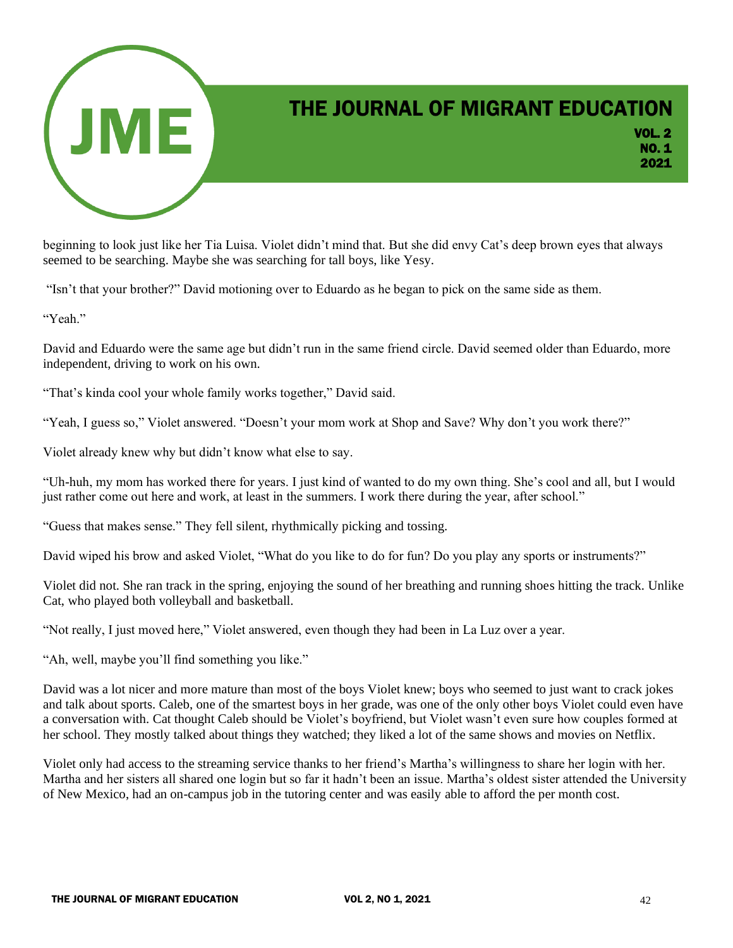

VOL. 2 NO. 1 2021

beginning to look just like her Tia Luisa. Violet didn't mind that. But she did envy Cat's deep brown eyes that always seemed to be searching. Maybe she was searching for tall boys, like Yesy.

"Isn't that your brother?" David motioning over to Eduardo as he began to pick on the same side as them.

"Yeah."

David and Eduardo were the same age but didn't run in the same friend circle. David seemed older than Eduardo, more independent, driving to work on his own.

"That's kinda cool your whole family works together," David said.

"Yeah, I guess so," Violet answered. "Doesn't your mom work at Shop and Save? Why don't you work there?"

Violet already knew why but didn't know what else to say.

"Uh-huh, my mom has worked there for years. I just kind of wanted to do my own thing. She's cool and all, but I would just rather come out here and work, at least in the summers. I work there during the year, after school."

"Guess that makes sense." They fell silent, rhythmically picking and tossing.

David wiped his brow and asked Violet, "What do you like to do for fun? Do you play any sports or instruments?"

Violet did not. She ran track in the spring, enjoying the sound of her breathing and running shoes hitting the track. Unlike Cat, who played both volleyball and basketball.

"Not really, I just moved here," Violet answered, even though they had been in La Luz over a year.

"Ah, well, maybe you'll find something you like."

David was a lot nicer and more mature than most of the boys Violet knew; boys who seemed to just want to crack jokes and talk about sports. Caleb, one of the smartest boys in her grade, was one of the only other boys Violet could even have a conversation with. Cat thought Caleb should be Violet's boyfriend, but Violet wasn't even sure how couples formed at her school. They mostly talked about things they watched; they liked a lot of the same shows and movies on Netflix.

Violet only had access to the streaming service thanks to her friend's Martha's willingness to share her login with her. Martha and her sisters all shared one login but so far it hadn't been an issue. Martha's oldest sister attended the University of New Mexico, had an on-campus job in the tutoring center and was easily able to afford the per month cost.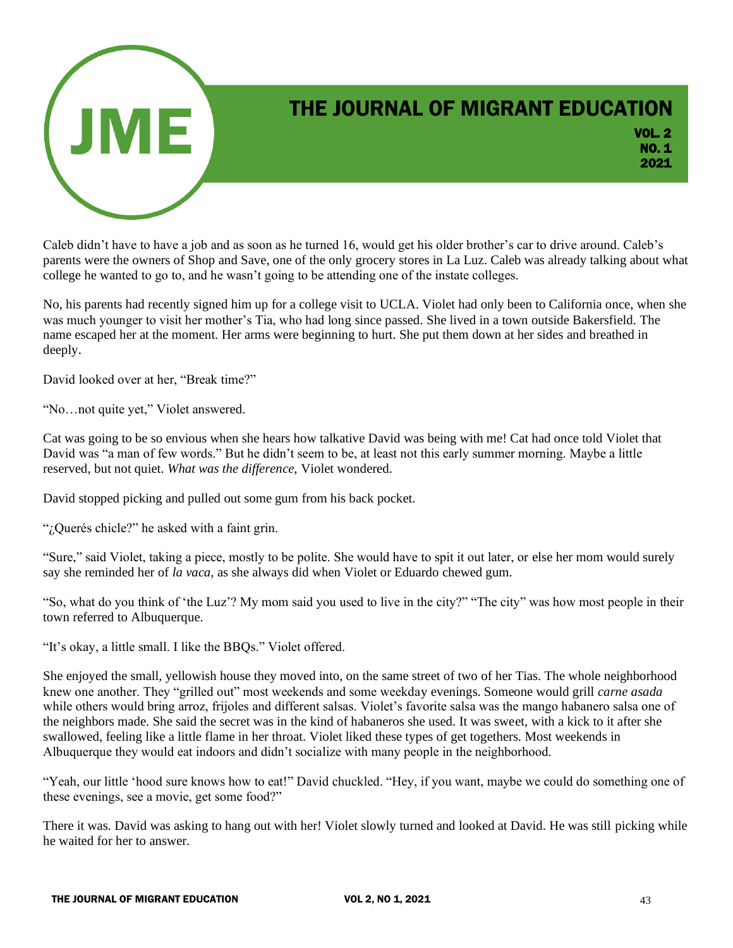

Caleb didn't have to have a job and as soon as he turned 16, would get his older brother's car to drive around. Caleb's parents were the owners of Shop and Save, one of the only grocery stores in La Luz. Caleb was already talking about what college he wanted to go to, and he wasn't going to be attending one of the instate colleges.

No, his parents had recently signed him up for a college visit to UCLA. Violet had only been to California once, when she was much younger to visit her mother's Tia, who had long since passed. She lived in a town outside Bakersfield. The name escaped her at the moment. Her arms were beginning to hurt. She put them down at her sides and breathed in deeply.

David looked over at her, "Break time?"

"No…not quite yet," Violet answered.

Cat was going to be so envious when she hears how talkative David was being with me! Cat had once told Violet that David was "a man of few words." But he didn't seem to be, at least not this early summer morning. Maybe a little reserved, but not quiet. *What was the difference,* Violet wondered.

David stopped picking and pulled out some gum from his back pocket.

"¿Querés chicle?" he asked with a faint grin.

"Sure," said Violet, taking a piece, mostly to be polite. She would have to spit it out later, or else her mom would surely say she reminded her of *la vaca,* as she always did when Violet or Eduardo chewed gum.

"So, what do you think of 'the Luz'? My mom said you used to live in the city?" "The city" was how most people in their town referred to Albuquerque.

"It's okay, a little small. I like the BBQs." Violet offered.

She enjoyed the small, yellowish house they moved into, on the same street of two of her Tias. The whole neighborhood knew one another. They "grilled out" most weekends and some weekday evenings. Someone would grill *carne asada* while others would bring arroz, frijoles and different salsas. Violet's favorite salsa was the mango habanero salsa one of the neighbors made. She said the secret was in the kind of habaneros she used. It was sweet, with a kick to it after she swallowed, feeling like a little flame in her throat. Violet liked these types of get togethers. Most weekends in Albuquerque they would eat indoors and didn't socialize with many people in the neighborhood.

"Yeah, our little 'hood sure knows how to eat!" David chuckled. "Hey, if you want, maybe we could do something one of these evenings, see a movie, get some food?"

There it was. David was asking to hang out with her! Violet slowly turned and looked at David. He was still picking while he waited for her to answer.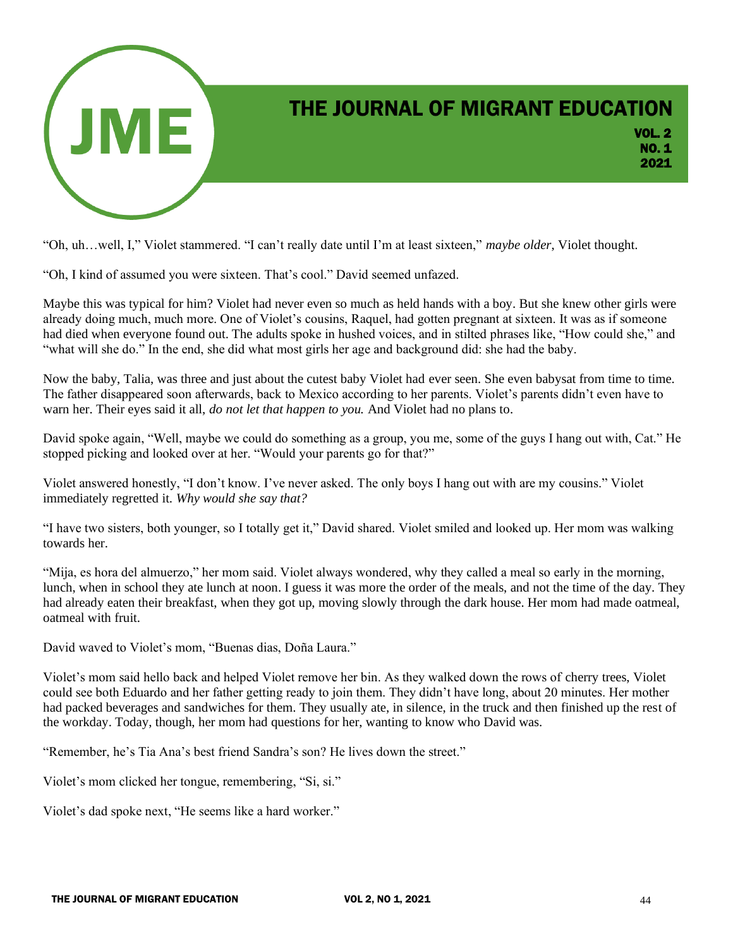

"Oh, uh…well, I," Violet stammered. "I can't really date until I'm at least sixteen," *maybe older*, Violet thought.

"Oh, I kind of assumed you were sixteen. That's cool." David seemed unfazed.

Maybe this was typical for him? Violet had never even so much as held hands with a boy. But she knew other girls were already doing much, much more. One of Violet's cousins, Raquel, had gotten pregnant at sixteen. It was as if someone had died when everyone found out. The adults spoke in hushed voices, and in stilted phrases like, "How could she," and "what will she do." In the end, she did what most girls her age and background did: she had the baby.

Now the baby, Talia, was three and just about the cutest baby Violet had ever seen. She even babysat from time to time. The father disappeared soon afterwards, back to Mexico according to her parents. Violet's parents didn't even have to warn her. Their eyes said it all, *do not let that happen to you.* And Violet had no plans to.

David spoke again, "Well, maybe we could do something as a group, you me, some of the guys I hang out with, Cat." He stopped picking and looked over at her. "Would your parents go for that?"

Violet answered honestly, "I don't know. I've never asked. The only boys I hang out with are my cousins." Violet immediately regretted it. *Why would she say that?*

"I have two sisters, both younger, so I totally get it," David shared. Violet smiled and looked up. Her mom was walking towards her.

"Mija, es hora del almuerzo," her mom said. Violet always wondered, why they called a meal so early in the morning, lunch, when in school they ate lunch at noon. I guess it was more the order of the meals, and not the time of the day. They had already eaten their breakfast, when they got up, moving slowly through the dark house. Her mom had made oatmeal, oatmeal with fruit.

David waved to Violet's mom, "Buenas dias, Doña Laura."

Violet's mom said hello back and helped Violet remove her bin. As they walked down the rows of cherry trees, Violet could see both Eduardo and her father getting ready to join them. They didn't have long, about 20 minutes. Her mother had packed beverages and sandwiches for them. They usually ate, in silence, in the truck and then finished up the rest of the workday. Today, though, her mom had questions for her, wanting to know who David was.

"Remember, he's Tia Ana's best friend Sandra's son? He lives down the street."

Violet's mom clicked her tongue, remembering, "Si, si."

Violet's dad spoke next, "He seems like a hard worker."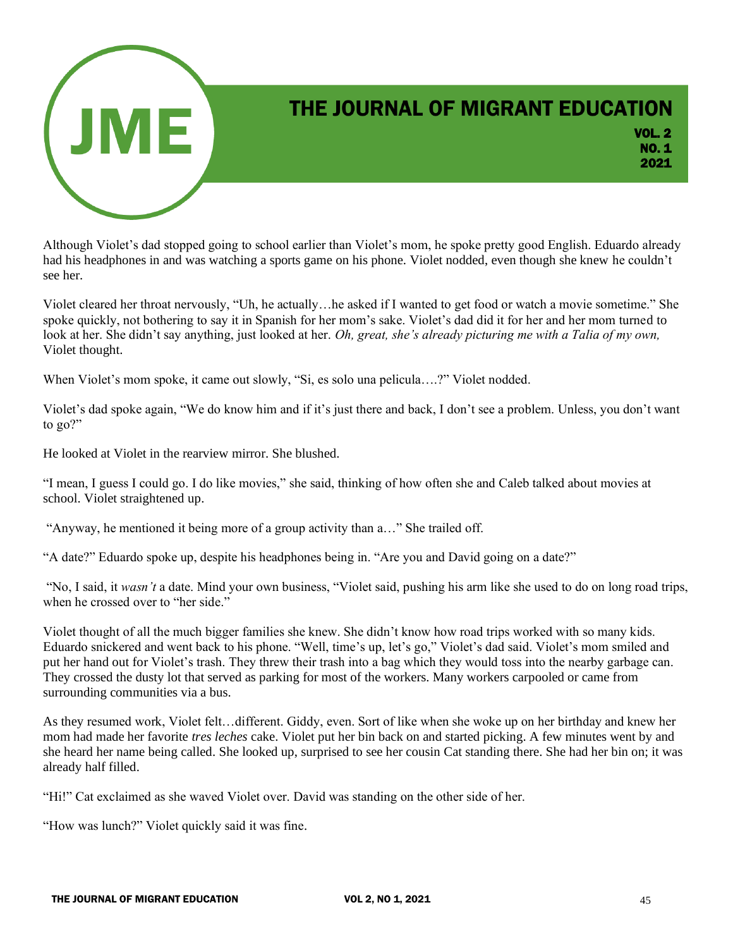

VOL. 2 NO. 1 2021

Although Violet's dad stopped going to school earlier than Violet's mom, he spoke pretty good English. Eduardo already had his headphones in and was watching a sports game on his phone. Violet nodded, even though she knew he couldn't see her.

Violet cleared her throat nervously, "Uh, he actually…he asked if I wanted to get food or watch a movie sometime." She spoke quickly, not bothering to say it in Spanish for her mom's sake. Violet's dad did it for her and her mom turned to look at her. She didn't say anything, just looked at her. *Oh, great, she's already picturing me with a Talia of my own*, Violet thought.

When Violet's mom spoke, it came out slowly, "Si, es solo una pelicula….?" Violet nodded.

Violet's dad spoke again, "We do know him and if it's just there and back, I don't see a problem. Unless, you don't want to go?"

He looked at Violet in the rearview mirror. She blushed.

"I mean, I guess I could go. I do like movies," she said, thinking of how often she and Caleb talked about movies at school. Violet straightened up.

"Anyway, he mentioned it being more of a group activity than a…" She trailed off.

"A date?" Eduardo spoke up, despite his headphones being in. "Are you and David going on a date?"

"No, I said, it *wasn't* a date. Mind your own business, "Violet said, pushing his arm like she used to do on long road trips, when he crossed over to "her side."

Violet thought of all the much bigger families she knew. She didn't know how road trips worked with so many kids. Eduardo snickered and went back to his phone. "Well, time's up, let's go," Violet's dad said. Violet's mom smiled and put her hand out for Violet's trash. They threw their trash into a bag which they would toss into the nearby garbage can. They crossed the dusty lot that served as parking for most of the workers. Many workers carpooled or came from surrounding communities via a bus.

As they resumed work, Violet felt…different. Giddy, even. Sort of like when she woke up on her birthday and knew her mom had made her favorite *tres leches* cake. Violet put her bin back on and started picking. A few minutes went by and she heard her name being called. She looked up, surprised to see her cousin Cat standing there. She had her bin on; it was already half filled.

"Hi!" Cat exclaimed as she waved Violet over. David was standing on the other side of her.

"How was lunch?" Violet quickly said it was fine.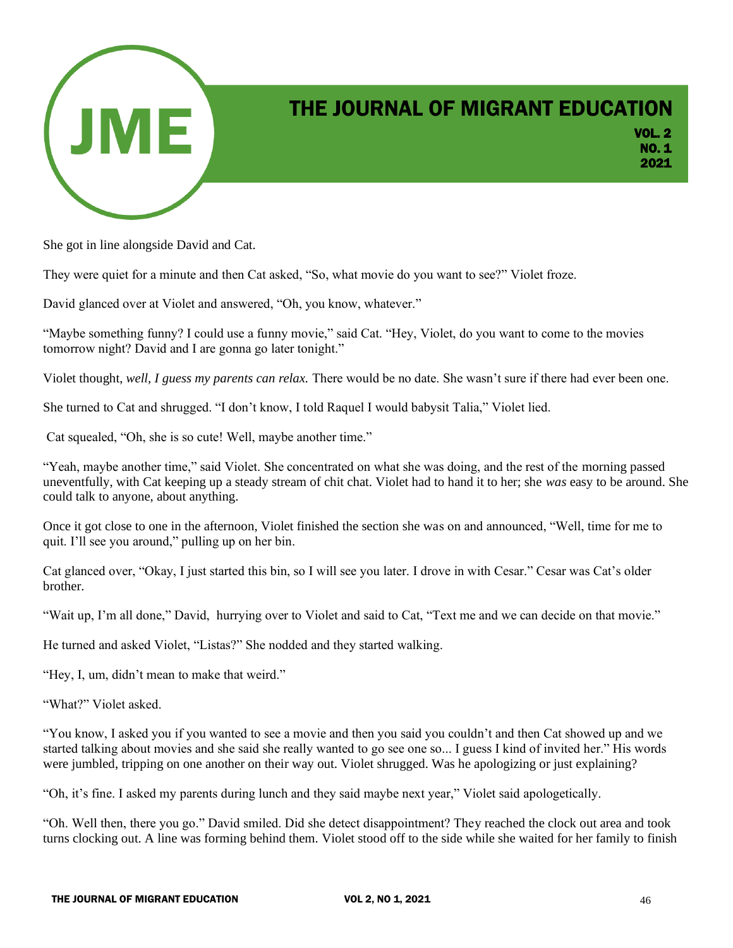

VOL. 2 NO. 1 2021

She got in line alongside David and Cat.

They were quiet for a minute and then Cat asked, "So, what movie do you want to see?" Violet froze.

David glanced over at Violet and answered, "Oh, you know, whatever."

"Maybe something funny? I could use a funny movie," said Cat. "Hey, Violet, do you want to come to the movies tomorrow night? David and I are gonna go later tonight."

Violet thought, *well, I guess my parents can relax.* There would be no date. She wasn't sure if there had ever been one.

She turned to Cat and shrugged. "I don't know, I told Raquel I would babysit Talia," Violet lied.

Cat squealed, "Oh, she is so cute! Well, maybe another time."

"Yeah, maybe another time," said Violet. She concentrated on what she was doing, and the rest of the morning passed uneventfully, with Cat keeping up a steady stream of chit chat. Violet had to hand it to her; she *was* easy to be around. She could talk to anyone, about anything.

Once it got close to one in the afternoon, Violet finished the section she was on and announced, "Well, time for me to quit. I'll see you around," pulling up on her bin.

Cat glanced over, "Okay, I just started this bin, so I will see you later. I drove in with Cesar." Cesar was Cat's older brother.

"Wait up, I'm all done," David, hurrying over to Violet and said to Cat, "Text me and we can decide on that movie."

He turned and asked Violet, "Listas?" She nodded and they started walking.

"Hey, I, um, didn't mean to make that weird."

"What?" Violet asked.

"You know, I asked you if you wanted to see a movie and then you said you couldn't and then Cat showed up and we started talking about movies and she said she really wanted to go see one so... I guess I kind of invited her." His words were jumbled, tripping on one another on their way out. Violet shrugged. Was he apologizing or just explaining?

"Oh, it's fine. I asked my parents during lunch and they said maybe next year," Violet said apologetically.

"Oh. Well then, there you go." David smiled. Did she detect disappointment? They reached the clock out area and took turns clocking out. A line was forming behind them. Violet stood off to the side while she waited for her family to finish